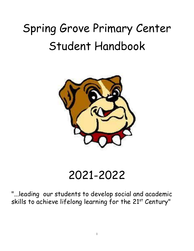# Spring Grove Primary Center Student Handbook



## 2021-2022

"...leading our students to develop social and academic skills to achieve lifelong learning for the 21st Century"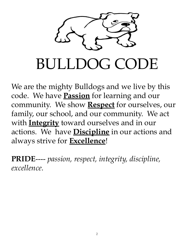

We are the mighty Bulldogs and we live by this code. We have **Passion** for learning and our community. We show **Respect** for ourselves, our family, our school, and our community. We act with **Integrity** toward ourselves and in our actions. We have **Discipline** in our actions and always strive for **Excellence**!

**PRIDE**---- *passion, respect, integrity, discipline, excellence.*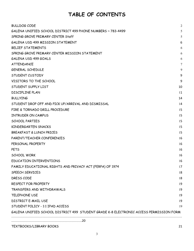### **TABLE OF CONTENTS**

| <b>BULLDOG CODE</b>                                                                    | 2      |
|----------------------------------------------------------------------------------------|--------|
| GALENA UNIFIED SCHOOL DISTRICT 499 PHONE NUMBERS ~ 783-4499                            | 5      |
| SPRING GROVE PRIMARY CENTER Staff                                                      | 5      |
| GALENA USD 499 MISSION STATEMENT                                                       | 6      |
| <b>BELIEF STATEMENTS</b>                                                               | 6      |
| SPRING GROVE PRIMARY CENTER MISSION STATEMENT                                          | 6      |
| GALENA USD 499 GOALS                                                                   | 6      |
| ATTENDANCE                                                                             | $\tau$ |
| <b>GENERAL SCHEDULE</b>                                                                | 9      |
| STUDENT CUSTODY                                                                        | 9      |
| VISITORS TO THE SCHOOL                                                                 | 9      |
| STUDENT SUPPLY LIST                                                                    | 10     |
| <b>DISCIPLINE PLAN</b>                                                                 | 11     |
| <b>BULLYING</b>                                                                        | 14     |
| STUDENT DROP OFF AND PICK UP/ARRIVAL AND DISMISSAL                                     | 14     |
| FIRE & TORNADO DRILL PROCEDURE                                                         | 15     |
| INTRUDER ON CAMPUS                                                                     | 15     |
| <b>SCHOOL PARTIES</b>                                                                  | 15     |
| KINDERGARTEN SNACKS                                                                    | 15     |
| BREAKFAST & LUNCH PRICES                                                               | 15     |
| PARENT/TEACHER CONFERENCES                                                             | 16     |
| PERSONAL PROPERTY                                                                      | 16     |
| <b>PETS</b>                                                                            | 16     |
| <b>SCHOOL WORK</b>                                                                     | 16     |
| EDUCATION INTERVENTIONS                                                                | 16     |
| FAMILY EDUCATIONAL RIGHTS AND PRIVACY ACT (FERPA) OF 1974                              | 17     |
| SPEECH SERVICES                                                                        | 18     |
| DRESS CODE                                                                             | 18     |
| RESPECT FOR PROPERTY                                                                   | 19     |
| TRANSFERS AND WITHDRAWALS                                                              | 19     |
| <b>TELEPHONE USE</b>                                                                   | 19     |
| <b>DISTRICT E-MAIL USE</b>                                                             | 19     |
| STUDENT POLICY - 1:1 IPAD ACCESS                                                       | 19     |
| GALENA UNIFIED SCHOOL DISTRICT 499 STUDENT GRADE K-8 ELECTRONIC ACCESS PERMISSION FORM |        |
|                                                                                        |        |
|                                                                                        |        |

[TEXTBOOKS/LIBRARY](#page-20-0) BOOKS 21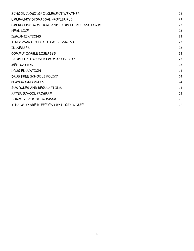| SCHOOL CLOSING/INCLEMENT WEATHER              | 22 |
|-----------------------------------------------|----|
| EMERGENCY DISMISSAL PROCEDURES                | 22 |
| EMERGENCY PROCEDURE AND STUDENT RELEASE FORMS | 22 |
| <b>HEAD LICE</b>                              | 23 |
| <b>IMMUNIZATIONS</b>                          | 23 |
| KINDERGARTEN HEALTH ASSESSMENT                | 23 |
| <b>ILLNESSES</b>                              | 23 |
| COMMUNICABLE DISEASES                         | 23 |
| STUDENTS EXCUSED FROM ACTIVITIES              | 23 |
| <b>MEDICATION</b>                             | 23 |
| DRUG EDUCATION                                | 24 |
| DRUG FREE SCHOOLS POLICY                      | 24 |
| PLAYGROUND RULES                              | 24 |
| <b>BUS RULES AND REGULATIONS</b>              | 24 |
| AFTER SCHOOL PROGRAM                          | 25 |
| SUMMER SCHOOL PROGRAM                         | 25 |
| KIDS WHO ARE DIFFERENT BY DIGBY WOLFE         | 26 |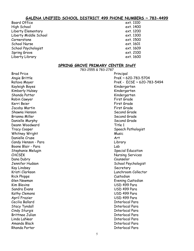#### **GALENA UNIFIED SCHOOL DISTRICT 499 PHONE NUMBERS ~ 783-4499**

- <span id="page-4-0"></span>Board Office ext. 1100<br>High School ext. 1400 High School Liberty Elementary **Ext. 1200** Liberty Middle School ext. 1300 Cornerstone ext. 1500 School Nurse ext. 1601 School Psychologist ext. 1609 Spring Grove **Ext. 2100** Liberty Library ext. 1600
- 

#### **SPRING GROVE PRIMARY CENTER Staff**

783-2555 & 783-2787

<span id="page-4-1"></span>

| Brad Price             | Principal                           |
|------------------------|-------------------------------------|
| Angie Brittle          | PreK ~ 620-783-5704                 |
| Ratava Moyer           | PreK - $ECSE \sim 620 - 783 - 5494$ |
| Kayleigh Boyes         | Kindergarten                        |
| Kimberly Hulsey        | Kindergarten                        |
| Shonda Potter          | Kindergarten                        |
| Robin Cawyer           | First Grade                         |
| Kerri Beier            | First Grade                         |
| Jacoby Martin          | First Grade                         |
| Shawna Henson          | Second Grade                        |
| Brianna Miller         | Second Grade                        |
| Danielle Murphy        | Second Grade                        |
| Deann Woodward         | Title 1                             |
| Tracy Cooper           | Speech Pathologist                  |
| Whitney Wright         | Music                               |
| Danielle Cruse         | Art                                 |
| Candy Henson - Para    | Library                             |
| Boone Blair - Para     | Lab                                 |
| Stephanie Melugin      | <b>Special Education</b>            |
| CHCSEK                 | <b>Nursing Services</b>             |
| Dana Dubry             | Counselor                           |
| Jennifer Hudson        | School Psychologist                 |
| Kay Lindsey            | Secretary                           |
| Kristi Clarkson        | Lunchroom Collector                 |
| <b>Rick Phipps</b>     | Custodian                           |
| Glen Newman            | Evening Custodian                   |
| <b>Kim Blevins</b>     | USD 499 Para                        |
| Sandra Evans           | USD 499 Para                        |
| Kathy Clemons          | USD 499 Para                        |
| <b>April Frazier</b>   | USD 499 Para                        |
| Cecilia Ballard        | <b>Interlocal Para</b>              |
| Stacy Tyndall          | <b>Interlocal Para</b>              |
| Cindy Sturgis          | <b>Interlocal Para</b>              |
| <b>Brittnee Julian</b> | <b>Interlocal Para</b>              |
| Linda LaNear           | <b>Interlocal Para</b>              |
| Amanda Black           | <b>Interlocal Para</b>              |
| Rhonda Porter          | <b>Interlocal Para</b>              |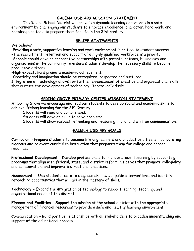#### **GALENA USD 499 MISSION STATEMENT**

<span id="page-5-0"></span>The Galena School District will provide a dynamic learning experience in a safe environment by challenging our students to embrace excellence, character, hard work, and knowledge as tools to prepare them for life in the 21st century.

#### **BELIEF STATEMENTS**

<span id="page-5-1"></span>We believe:

-Providing a safe, supportive learning and work environment is critical to student success. -The recruitment, retention and support of a highly qualified workforce is a priority.

-Schools should develop cooperative partnerships with parents, patrons, businesses and organizations in the community to ensure students develop the necessary skills to become productive citizens.

-High expectations promote academic achievement.

-Creativity and imagination should be recognized, respected and nurtured.

Integration of technology allows for further enhancement of creative and organizational skills that nurture the development of technology literate individuals.

#### **SPRING GROVE PRIMARY CENTER MISSION STATEMENT**

<span id="page-5-2"></span>At Spring Grove we encourage and lead our students to develop social and academic skills to achieve lifelong learning for the 21<sup>st</sup> Century.

Students will read and comprehend.

Students will develop skills to solve problems.

Students will show respect in thinking and reasoning in oral and written communication.

#### **GALENA USD 499 GOALS**

<span id="page-5-3"></span>**Curriculum** - Prepare students to become lifelong learners and productive citizens incorporating rigorous and relevant curriculum instruction that prepares them for college and career readiness.

**Professional Development** - Develop professionals to improve student learning by supporting programs that align with federal, state, and district reform initiatives that promote collegiality and collaboration, and improve instructional practices.

**Assessment** - Use students' data to diagnose skill levels, guide interventions, and identify reteaching opportunities that will aid in the mastery of skills.

**Technology** - Expand the integration of technology to support learning, teaching, and organizational needs of the district.

**Finance and Facilities** - Support the mission of the school district with the appropriate management of financial resources to provide a safe and healthy learning environment.

**Communication** - Build positive relationships with all stakeholders to broaden understanding and support of the educational process.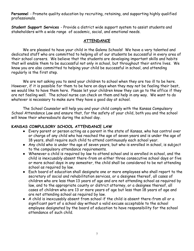**Personnel** - Promote quality education by recruiting, retaining, and supporting highly qualified professionals.

**Student Support Services** - Provide a district wide support system to assist students and stakeholders with a wide range of academic, social, and emotional needs.

#### **ATTENDANCE**

<span id="page-6-0"></span>We are pleased to have your child in the Galena Schools! We have a very talented and dedicated staff who are committed to helping all of our students be successful in every area of their school careers. We believe that the students are developing important skills and habits that will enable them to be successful not only in school, but throughout their entire lives. We know you are also committed to helping your child be successful in school, and attending regularly is the first step.

We are not asking you to send your children to school when they are too ill to be here. However, if it is possible for them to be here on days when they may not be feeling their best, we would like to have them here. Please let your children know they can go to the office if they are not feeling well. The school nurse can check on them and help in any way. We want to do whatever is necessary to make sure they have a good day at school.

The School Counselor will help you and your child comply with the Kansas Compulsory School Attendance Law and ensure that, for the safety of your child, both you and the school will know their whereabouts during the school day.

#### **KANSAS COMPULSORY SCHOOL ATTENDANCE LAW**

- Every parent or person acting as a parent in the state of Kansas, who has control over or charge of any child who has reached the age of seven years and is under the age of 18 years, shall require such child to attend continuously each school year.
- Any child who is under the age of seven years, but who is enrolled in school, is subject to the compulsory attendance requirements.
- Whenever a child is required by law to attend school and is enrolled in school, and the child is inexcusably absent there-from on either three consecutive school days or five or more school days in any semester, the child shall be considered to be not attending school as required by law.
- Each board of education shall designate one or more employees who shall report to the secretary of social and rehabilitation services, or a designee thereof, all cases of children who are less than 13 years of age and are not attending school as required by law, and to the appropriate county or district attorney, or a designee thereof, all cases of children who are 13 or more years of age but less than 18 years of age and are not attending school as required by law.
- A child is inexcusably absent from school if the child is absent there-from all or a significant part of a school day without a valid excuse acceptable to the school employee designated by the board of education to have responsibility for the school attendance of such child.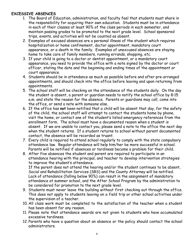#### **EXCESSIVE ABSENCES**

- 1. The Board of Education, administration, and faculty feel that students must share in the responsibility for acquiring their own education. Students must be in attendance in each of their classes at least 90% of the class periods in each semester, and maintain passing grades to be promoted to the next grade level. School sponsored trips, events, and activities will not be counted as absent.
- 2. Examples of excused absences are a personal illness of the student which requires hospitalization or home confinement, doctor appointment, mandatory court appearance, or a death in the family. Examples of unexcused absences are staying home to take care of family members, running errands, shopping, etc.
- 3. If your child is going to a doctor or dentist appointment, or a mandatory court appearance, you need to provide the office with a note signed by the doctor or court officer, stating the date and the beginning and ending times of the appointment or court appearance.
- 4. Students should be in attendance as much as possible before and after pre-arranged appointments, and should check into the office before leaving and upon returning from appointments.
- 5. The school staff will be checking on the attendance of the students daily. On the day the student is absent, a parent or guardian needs to notify the school office by 8:15 a.m. and state the reason for the absence. Parents or guardians may call, come into the office, or send a note with someone else.
- 6. If the office has **not** been notified that a child will be absent that day, for the safety of the child, the school staff will attempt to contact the students home by phone, visit the home, or contact one of the student's listed emergency references from the enrollment form. The school must have a documented reason when a student is absent. If we are unable to contact you, please send a note to the office the next day when the student returns. If a student returns to school without parent documented contact, the absence will be recorded as truant.
- 7. Every child is required to attend school regularly to comply with the state compulsory attendance law. Regular attendance will help him/her be more successful in school. Parents will be notified if absences or tardiness become a problem for their child.
- 8. After five absences the student and parent are required to participate in an attendance hearing with the principal, and teacher to develop intervention strategies to improve the student's attendance.

If the parent does not attend the hearing and/or the student continues to be absent, Social and Rehabilitation Services (SRS) and the County Attorney will be notified. Lack of attendance (falling below 90%) can result in the assignment of mandatory attendance at summer school, and the After School Program by the administration to be considered for promotion to the next grade level.

- 9. Students must never leave the building without first checking out through the office. This does not apply to students leaving on a field trip or other school activities under the supervision of a teacher.
- 10. All class work must be completed to the satisfaction of the teacher when a student has been absent for any reason.
- 11. Please note that attendance awards are not given to students who have accumulated excessive tardiness.
- 12. Parents who have a question about an absence or the policy should contact the school administrators.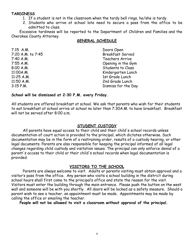#### **TARDINESS**

- 1. If a student is not in the classroom when the tardy bell rings, he/she is tardy.
- 2. Students who arrive at school late need to secure a pass from the office to be admitted to class.

<span id="page-8-0"></span>Excessive tardiness will be reported to the Department of Children and Families and the Cherokee County Attorney.

#### **GENERAL SCHEDULE**

| $7:15$ A.M.       | Doors Open              |
|-------------------|-------------------------|
| 7:20 A.M. to 7:45 | <b>Breakfast Served</b> |
| 7:40 A.M.         | Teachers Arrive         |
| 7:55A.M.          | Opening in the Gym      |
| 8:00A.M.          | Students to Class       |
| 11:00A.M.         | Kindergarten Lunch      |
| $11:25$ A.M.      | 1st Grade Lunch         |
| 11:50 A.M.        | 2nd Grade Lunch         |
| $3:15$ P.M.       | Dismiss for the Day     |

#### **School will be dismissed at 2:30 P.M. every Friday.**

All students are offered breakfast at school. We ask that parents who wish for their students to eat breakfast at school arrive at school no later than 7:30A.M. to have breakfast. Breakfast will not be served after 8:00 a.m.

#### **STUDENT CUSTODY**

<span id="page-8-1"></span>All parents have equal access to their child and their child's school records unless documentation of court action is provided to the principal, which dictates otherwise. Such documentation may be in the form of a restraining order, results of a custody hearing, or other legal documents. Parents are also responsible for keeping the principal informed of all legal changes regarding child custody and visitation issues. The principal can only enforce denial of a parent's access to their child or their child's school records when legal documentation is provided.

#### **VISITORS TO THE SCHOOL**

<span id="page-8-2"></span>Parents are always welcome to visit. Adults or parents visiting must obtain approval and a visitor's pass from the office. Any person who visits a school building in the district during school hours shall first come to the principal's office and state the reason for the visit. Visitors must enter the building through the main entrance. Please push the button on the west wall and someone will be with you shortly. All doors will be locked as a safety measure. Should a parent wish to see a teacher, an appointment must be made. Appointments may be made by calling the office or emailing the teacher.

**People will not be allowed to visit a classroom without approval of the principal.**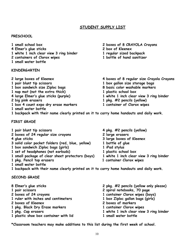#### **STUDENT SUPPLY LIST**

#### **PRESCHOOL**

| 1 small school box                      | 2 boxes of 8 CRAYOLA Cr    |
|-----------------------------------------|----------------------------|
| 4 Elmer's glue sticks                   | 2 box of Kleenex           |
| 1 white 1 inch clear view 3 ring binder | 1 regular sized backpack   |
| 2 containers of Clorox wipes            | 1 bottle of hand sanitizer |
| 1 small water bottle                    |                            |

#### **KINDERGARTEN**

 **box sandwich size Ziploc bags 8 basic color washable markers nap mat (not the extra thick) 1 plastic school box large Elmer's glue sticks (purple) 1 white 1 inch clear view 3 ring binder box 4 count expo dry erase markers 1 container of Clorox wipes small water bottle**

- **small school box 2 boxes of 8 CRAYOLA Crayons**
- 
- 
- **large boxes of Kleenex 4 boxes of 8 regular size Crayola Crayons pair blunt tip scissors 1 box gallon size storage bags big pink erasers 1 pkg. #2 pencils (yellow)**
	-
- **backpack with their name clearly printed on it to carry home handouts and daily work.**

#### **FIRST GRADE**

- **pair blunt tip scissors 4 pkg. #2 pencils (yellow)**
- **boxes of 24 regular size crayons 2 large erasers**
- 
- **glue sticks 3 large boxes of Kleenex solid color pocket folders (red, blue, yellow) 1 bottle of glue**
- **box sandwich Ziploc bags (girls) 1 iPad stylus**
- 
- **small package of clear sheet protectors (boys) 1 white 1 inch clear view 3 ring binder**
- 
- **small water bottle**
- **set of headphones (not earbuds) 1 plastic school box**
- **pkg. Pencil top erasers 1 container Clorox wipes**
- **backpack with their name clearly printed on it to carry home handouts and daily work.**

#### **SECOND GRADE**

| 8 Elmer's glue sticks                 | 2 pkg. #2 pencils (yellow only please)  |
|---------------------------------------|-----------------------------------------|
| 1 pair scissors                       | 2 spiral notebooks, 70 page             |
| 2 boxes of 24 crayons                 | 1 container Clorox wipes (boys)         |
| 1 ruler with inches and centimeters   | 1 box Ziploc gallon bags (girls)        |
| 2 boxes of Kleenex                    | 2 boxes of markers                      |
| 1 pkg. Black Dry Erase markers        | 1 container Clorox wipes                |
| 1 pkg. Cap erasers                    | 1 white 1 inch clear view 3 ring binder |
| 1 plastic shoe box container with lid | 1 small water bottle                    |

**\*Classroom teachers may make additions to this list during the first week of school.**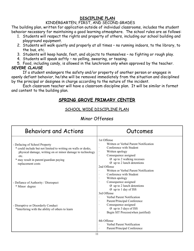#### **DISCIPLINE PLAN**

#### KINDERGARTEN, FIRST, AND SECOND GRADES

<span id="page-10-0"></span>The building plan, written for application outside of individual classrooms, includes the student behavior necessary for maintaining a good learning atmosphere. The school rules are as follows:

- 1. Students will respect the rights and property of others, including our school building and playground equipment.
- 2. Students will walk quietly and properly at all times no running indoors, to the library, to the bus, etc.
- 3. Students will keep hands, feet, and objects to themselves no fighting or rough play.
- 4. Students will speak softly no yelling, swearing, or teasing.
- 5. Food, including candy, is allowed in the lunchroom only when approved by the teacher. **SEVERE CLAUSE**

If a student endangers the safety and/or property of another person or engages in openly defiant behavior, he/she will be removed immediately from the situation and disciplined by the principal or designee in charge according to the nature of the incident.

Each classroom teacher will have a classroom discipline plan. It will be similar in format and content to the building plan.

#### **SPRING GROVE PRIMARY CENTER**

#### SCHOOL WIDE DISCIPLINE PLAN

#### Minor Offenses

| <b>Behaviors and Actions</b>                                                                                                                                                                                                       | Outcomes                                                                                                                                                                                                          |
|------------------------------------------------------------------------------------------------------------------------------------------------------------------------------------------------------------------------------------|-------------------------------------------------------------------------------------------------------------------------------------------------------------------------------------------------------------------|
| - Defacing of School Property<br>* could include but not limited to writing on walls or desks,<br>physical damage, writing on or minor damage to technology<br>etc.<br>* may result in parent/guardian paying<br>replacement costs | 1st Offense<br>Written or Verbal Parent Notification<br>Conference with Student<br>Written apology<br>Consequence assigned<br>Ø up to 2 walking recesses<br>$\varnothing$ up to 2 lunch detentions<br>2nd Offense |
| - Defiance of Authority / Disrespect<br>* Minor degree                                                                                                                                                                             | Written or Verbal Parent Notification<br>Conference with Student<br>Written apology<br>Consequence assigned<br>$\varnothing$ up to 2 lunch detentions<br>Ø up to 1 day of ISS<br>3rd Offense                      |
| - Disruptive or Disorderly Conduct<br>*Interfering with the ability of others to learn                                                                                                                                             | Verbal Parent Notification<br>Parent/Principal Conference<br>Consequence assigned<br>$\varnothing$ up to 3 days of ISS<br>Begin SIT Process(when justified)                                                       |
| 11                                                                                                                                                                                                                                 | 4th Offense<br>Verbal Parent Notification<br>Parent/Principal Conference                                                                                                                                          |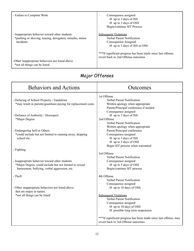| - Failure to Complete Work                                                                                             | Consequence assigned<br>$\overline{\phantom{a}}$<br>$\varnothing$ up to 3 days of ISS<br>$\varnothing$ up to 3 days of OSS<br>Begin/continue SIT Process                                                                  |
|------------------------------------------------------------------------------------------------------------------------|---------------------------------------------------------------------------------------------------------------------------------------------------------------------------------------------------------------------------|
| - Inappropriate behavior toward other students<br>*pushing or shoving, teasing, derogatory remarks, minor<br>incidents | <b>Subsequent Violations</b><br>Verbal Parent Notification<br>Consequence Assigned<br>Ø up to 3 days of ISS or OSS<br>***If significant progress has been made since last offense,<br>revert back to 2nd Offense outcomes |
| -Other inappropriate behaviors not listed above<br>*not all things can be listed                                       |                                                                                                                                                                                                                           |

### Major Offenses

| <b>Behaviors and Actions</b>                                                                                                                              | Outcomes                                                                                                                                                                                  |
|-----------------------------------------------------------------------------------------------------------------------------------------------------------|-------------------------------------------------------------------------------------------------------------------------------------------------------------------------------------------|
| - Defacing of School Property / Vandalism<br>*may result in parents/guardians paying for replacement costs                                                | 1st Offense<br>Verbal Parent Notification<br>Written apology when appropriate<br>Parent/Principal conference if needed<br>Consequence assigned                                            |
| - Defiance of Authority / Disrespect<br>*Major Degree                                                                                                     | $\varnothing$ up to 3 days of ISS<br>2nd Offense<br>Verbal Parent Notification                                                                                                            |
| - Endangering Self or Others<br>*could include but not limited to running away, skipping<br>school etc.                                                   | Written apology when appropriate<br>Parent/Principal conference<br>Consequence assigned<br>$\varnothing$ up to 3 days of ISS<br>Ø up to 3 days of OSS<br>Begin SIT process when warranted |
| - Fighting                                                                                                                                                | 3rd Offense<br>Verbal Parent Notification                                                                                                                                                 |
| - Inappropriate behavior toward other students<br>*Major Degree, could include but not limited to sexual<br>harassment, bullying, verbal aggression, etc. | Consequence assigned<br>Ø up to 5 days of OSS<br>Begin/continue SIT process                                                                                                               |
| - Theft                                                                                                                                                   | 4th Offense<br>Verbal Parent Notification<br>Consequence assigned                                                                                                                         |
| - Other inappropriate behaviors not listed above<br>that are major in nature                                                                              | Ø up to 10 days of OSS                                                                                                                                                                    |
| *not all things can be listed                                                                                                                             | <b>Subsequent Violations</b><br>Verbal Parent Notification<br>Consequence assigned<br>$\varnothing$ up to 10 days of OSS<br>$\emptyset$ possible long term suspension                     |
|                                                                                                                                                           | ***If significant progress has been made since last offense, may<br>revert back to 3rd Offense outcomes                                                                                   |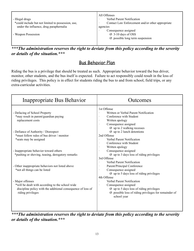| - Illegal drugs                                    | All Offenses<br>Verbal Parent Notification       |
|----------------------------------------------------|--------------------------------------------------|
| *could include but not limited to possession, use, | Contact Law Enforcement and/or other appropriate |
| under the influence, drug paraphernalia            | agencies                                         |
|                                                    | Consequence assigned                             |
| - Weapon Possession                                | $\varnothing$ 3-10 days of OSS                   |
|                                                    | $\Omega$ possible long term suspension           |
|                                                    |                                                  |

*\*\*\*The administration reserves the right to deviate from this policy according to the severity or details of the situation.\*\*\**

#### Bus Behavior Plan

Riding the bus is a privilege that should be treated as such. Appropriate behavior toward the bus driver, monitor, other students, and the bus itself is expected. Failure to act responsibly could result in the loss of riding privileges. This policy is in effect for students riding the bus to and from school, field trips, or any extra-curricular activities.

| Inappropriate Bus Behavior                                                                                                                                | Outcomes                                                                                                                                                                                     |
|-----------------------------------------------------------------------------------------------------------------------------------------------------------|----------------------------------------------------------------------------------------------------------------------------------------------------------------------------------------------|
| - Defacing of School Property<br>*may result in parent/guardian paying<br>replacement costs                                                               | 1st Offense<br>Written or Verbal Parent Notification<br>Conference with Student<br>Written apology<br>Consequence assigned                                                                   |
| - Defiance of Authority / Disrespect<br>*must follow rules of bus driver / monitor<br>*seats may be assigned                                              | $\varnothing$ up to 2 walking recesses<br>$\varnothing$ up to 2 lunch detentions<br>2nd Offense<br>Verbal Parent Notification<br>Conference with Student<br>Written apology                  |
| - Inappropriate behavior toward others<br>*pushing or shoving, teasing, derogatory remarks                                                                | Consequence assigned<br>$\varnothing$ up to 3 days loss of riding privileges<br>3rd Offense<br>Verbal Parent Notification                                                                    |
| - Other inappropriate behaviors not listed above<br>*not all things can be listed                                                                         | Parent/Principal Conference<br>Consequence assigned<br>$\varnothing$ up to 5 days loss of riding privileges<br>4th Offense                                                                   |
| - Major offenses<br>*will be dealt with according to the school wide<br>discipline policy with the additional consequence of loss of<br>riding privileges | Verbal Parent Notification<br>Consequence assigned<br>$\varnothing$ up to 5 days loss of riding privileges<br>$\emptyset$ possible loss of riding privileges for remainder of<br>school year |

*\*\*\*The administration reserves the right to deviate from this policy according to the severity or details of the situation.\*\*\**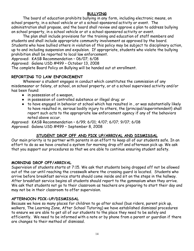#### **BULLYING**

<span id="page-13-0"></span>The board of education prohibits bullying in any form, including electronic means, on school property, in a school vehicle or at a school-sponsored activity or event. The administration shall propose, and the board shall review and approve a plan to address bullying on school property, in a school vehicle or at a school-sponsored activity or event.

The plan shall include provisions for the training and education of staff members and students and shall include appropriate community involvement as approved by the board. Students who have bullied others in violation of this policy may be subject to disciplinary action, up to and including suspension and expulsion. If appropriate, students who violate the bullying prohibition shall be reported to local law enforcement.

Approved: KASB Recommendation – 06/07; 6/08

Approved: Galena USD #499 – October 13, 2008

The complete Board Policy on Bullying will be handed out at enrollment.

#### **REPORTING TO LAW ENFORCEMENT**

Whenever a student engages in conduct which constitutes the commission of any misdemeanor or felony, at school, on school property, or at a school supervised activity and/or has been found:

- in possession of a weapon,
- in possession of controlled substance or illegal drug; or
- to have engaged in behavior at school which has resulted in , or was substantially likely to have resulted in, serious bodily injury to others, the {principal/superintendent} shall report such acts to the appropriate law enforcement agency if any of the behaviors noted above occur.

Approved: KASB Recommendation – 6/99; 6/01; 4/07; 6/07; 9/07; 6/08 Approved: Galena USD #499 – September 8, 2008

#### **STUDENT DROP OFF AND PICK UP/ARRIVAL AND DISMISSAL**

<span id="page-13-1"></span>Our main priority is to partner with parents in an effort to keep all of our students safe. In an effort to do so we have created a system for morning drop off and afternoon pick up. We ask that you support our procedures so that we are able to continue ensuring student safety.

#### **MORNING DROP OFF/ARRIVAL**

Supervision of students starts at 7:15. We ask that students being dropped off not be allowed out of the car until reaching the crosswalk where the crossing guard is located. Students who arrive before breakfast service starts should come inside and sit on the steps in the hallway. After breakfast service begins all students should report to the gymnasium when they arrive. We ask that students not go to their classroom as teachers are preparing to start their day and may not be in their classroom to offer supervision.

#### **AFTERNOON PICK-UP/DISMISSAL**

Because we have so many places for children to go after school (bus riders, parent pick up, walkers, The Learning Zone, After School Tutoring) we have established dismissal procedures to ensure we are able to get all of our students to the place they need to be safely and efficiently. We need to be informed with a note or by phone from a parent or guardian if there are changes to their method of dismissal.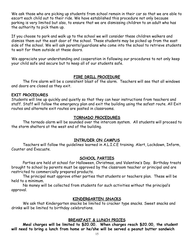We ask those who are picking up students from school remain in their car so that we are able to escort each child out to their ride. We have established this procedure not only because parking is very limited but also, to ensure that we are dismissing children to an adult who has the authority to pick them up.

If you choose to park and walk up to the school we will consider these children walkers and dismiss them out the east door of the school. These students may be picked up from the east side of the school. We will ask parents/guardians who come into the school to retrieve students to wait for them outside at these doors.

We appreciate your understanding and cooperation in following our procedures to not only keep your child safe and secure but to keep all of our students safe.

#### **FIRE DRILL PROCEDURE**

<span id="page-14-0"></span>The fire alarm will be a consistent blast of the alarm. Teachers will see that all windows and doors are closed as they exit.

#### **EXIT PROCEDURES**

Students will line up quickly and quietly so that they can hear instructions from teachers and staff. Staff will follow the emergency plan and exit the building using the safest route. All Exit routes and alternate exit routes are posted in classrooms.

#### **TORNADO PROCEDURES**

<span id="page-14-1"></span>The tornado alarm will be sounded over the intercom system. All students will proceed to the storm shelters at the west end of the building.

#### **INTRUDER ON CAMPUS**

Teachers will follow the guidelines learned in A.L.I.C.E training. Alert, Lockdown, Inform, Counter and Evacuate.

#### **SCHOOL PARTIES**

<span id="page-14-2"></span>Parties are held at school for Halloween, Christmas, and Valentine's Day. Birthday treats brought to school by parents must be approved by the classroom teacher or principal and are restricted to commercially prepared products.

The principal must approve other parties that students or teachers plan. These will be held to a minimum.

No money will be collected from students for such activities without the principal's approval.

#### **KINDERGARTEN SNACKS**

<span id="page-14-3"></span>We ask that Kindergarten snacks be limited to cracker type snacks. Sweet snacks and drinks will be limited to birthday celebrations.

#### **BREAKFAST & LUNCH PRICES**

<span id="page-14-4"></span>**Meal charges will be limited to \$20.00. When charges reach \$20.00, the student will need to bring a lunch from home or he/she will be served a peanut butter sandwich**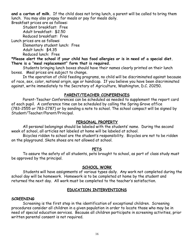**and a carton of milk.** If the child does not bring lunch, a parent will be called to bring them lunch. You may also prepay for meals or pay for meals daily.

Breakfast prices are as follows: Student breakfast: Free Adult breakfast: \$2.50 Reduced breakfast: Free Lunch prices are as follows: Elementary student lunch: Free Adult lunch: \$4.35 Reduced lunch: Free

**\*Please alert the school if your child has food allergies or is in need of a special diet. There is a "meal replacement" form that is required.**

Students bringing lunch boxes should have their names clearly printed on their lunch boxes. Meal prices are subject to change.

In the operation of child feeding programs, no child will be discriminated against because of race, sex, color, national origin, age or handicap. If you believe you have been discriminated against, write immediately to the Secretary of Agriculture, Washington, D.C. 20250.

#### **PARENT/TEACHER CONFERENCES**

<span id="page-15-0"></span>Parent-Teacher Conferences can be scheduled as needed to supplement the report card of each pupil. A conference time can be scheduled by calling the Spring Grove office (783-2555 or 783-2787) or by sending a note to school. The school compact will be signed by Student/Teacher/Parent/Principal.

#### **PERSONAL PROPERTY**

<span id="page-15-1"></span>All personal belongings should be labeled with the students' name. During the second week of school, all articles not labeled at home will be labeled at school.

Bicycles ridden to school are the student's responsibility. Bicycles are not to be ridden on the playground. Skate shoes are not allowed at school.

#### **PETS**

<span id="page-15-2"></span>To assure the safety of all students, pets brought to school, as part of class study must be approved by the principal.

#### **SCHOOL WORK**

<span id="page-15-3"></span>Students will have assignments of various types daily. Any work not completed during the school day will be homework. Homework is to be completed at home by the student and returned the next day. All work must be completed to the teacher's satisfaction.

#### **EDUCATION INTERVENTIONS**

#### <span id="page-15-4"></span>**SCREENING**

Screening is the first step in the identification of exceptional children. Screening procedures consider all children in a given population in order to locate those who may be in need of special education services. Because all children participate in screening activities, prior written parental consent is not required.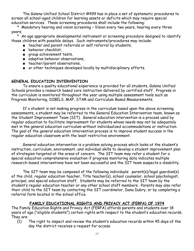The Galena Unified School District #499 has in place a set of systematic procedures to screen all school-aged children for learning assets or deficits which may require special education services. These screening procedures shall include the following:

\* Mandatory hearing and vision screening – Vision every two years, hearing every three years;

\* An age appropriate developmental instrument or screening procedure designed to identify those children with possible delays. Such instruments/procedures may include:

- teacher and parent referrals or self referral by students,
- behavior checklist,
- group achievement tests,
- adaptive behavior observations,
- teacher/parent observations,
- or other techniques developed locally by multidisciplinary efforts.

#### **GENERAL EDUCATION INTERVENTION**

To ensure a quality educational experience is provided for all students, Galena Unified Schools provides a research based core instruction delivered by certified staff. Progress in the curriculum is monitored throughout the year using multiple assessment tools such as Progress Monitoring, DIBELS, MAP, STAR and Curriculum Based Measurements.

If a student is not making progress in the curriculum based upon the above screening assessments, a student may be referred to the General Education Intervention team, known as the Student Improvement Team (SIT). General education intervention is a process used by regular education to facilitate improvement for students whose needs may not be adequately met in the general education curriculum without individualized accommodations or instruction. The goal of the general education intervention process is to improve student success in the regular education classroom with the least restrictive environment.

General education intervention is a problem solving process which looks at the student's instruction, curriculum, environment, and individual skills to develop a student improvement plan of strategies targeted at the areas of concern. The SIT team may refer a student for a special education comprehensive evaluation if progress monitoring data indicates multiple research-based interventions have not been successful and the SIT team suspects a disability.

The SIT team may be composed of the following individuals: parent(s)/legal guardian(s) of the child, regular education teacher, Title teacher(s), school counselor, school psychologist, principal, and special education staff. Students may be referred to the SIT team by the student's regular education teacher or any other school staff members. Parents may also refer their child to the SIT team by contacting the SIT coordinator, Dana Dubry, or by completing a referral form located in the school office.

#### **FAMILY EDUCATIONAL RIGHTS AND PRIVACY ACT (FERPA) OF 1974**

<span id="page-16-0"></span>The Family Education Rights and Privacy Act (FERPA) affords parents and students over 18 years of age ("eligible students") certain rights with respect to the student's education records. They are:

(1) The right to inspect and review the student's education records within 45 days of the day the district receives a request for access.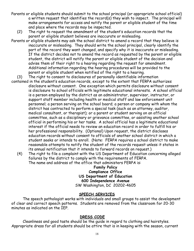- Parents or eligible students should submit to the school principal (or appropriate school official) a written request that identifies the record(s) they wish to inspect. The principal will make arrangements for access and notify the parent or eligible student of the time and place where the records may be inspected.
	- (2) The right to request the amendment of the student's education records that the parent or eligible student believes are inaccurate or misleading.
- Parents or eligible students may ask the school district to amend a record that they believe is inaccurate or misleading. They should write the school principal, clearly identify the part of the record they want changed, and specify why it is inaccurate or misleading. If the district decides not to amend the record as requested by the parent or eligible student, the district will notify the parent or eligible student of the decision and advise them of their right to a hearing regarding the request for amendment. Additional information regarding the hearing procedures will be provided to the parent or eligible student when notified of the right to a hearing.
- (3) The right to consent to disclosures of personally identifiable information
- contained in the student's education records, except to the extent that FERPA authorizes disclosure without consent. One exception which permits disclosure without consent is disclosure to school officials with legitimate educational interests. A school official is a person employed by the district as an administrator, supervisor, instructor, or support staff member including health or medical staff and law enforcement unit personnel; a person serving on the school board; a person or company with whom the district has contracted to perform a special task (such as an attorney, auditor, medical consultant, or therapist); or a parent or student serving on an official committee, such as a disciplinary or grievance committee, or assisting another school official in performing his or her tasks. A school official has a legitimate educational interest if the official needs to review an education record in order to fulfill his or her professional responsibility. (Optional) Upon request, the district discloses education records without consent to officials of another school district in which a student seeks or intends to enroll. (Note: FERPA requires a school district to make reasonable attempts to notify the student of the records request unless it states in its annual notification that it intends to forward records on request.)
	- (4) The right to file a complaint with the US Department of Education concerning alleged failures by the district to comply with the requirements of FERPA. The name and address of the office that administers FERPA is:

**Family Policy Compliance Office US Department of Education 600 Independence Avenue** SW Washington, DC 20202-4605

#### **SPEECH SERVICES**

<span id="page-17-0"></span>The speech pathologist works with individuals and small groups to assist the development of clear and correct speech patterns. Students are removed from the classroom for 20-30 minutes as indicated on the IEP.

#### **DRESS CODE**

Cleanliness and good taste should be the guide in regard to clothing and hairstyles. Appropriate dress for all students should be attire that is in keeping with the season, current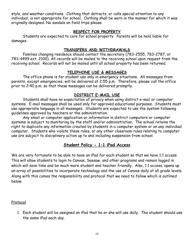style, and weather conditions. Clothing that detracts, or calls special attention to any individual, is not appropriate for school. Clothing shall be worn in the manner for which it was originally designed. No sandals on field trips please.

#### **RESPECT FOR PROPERTY**

<span id="page-18-0"></span>Students are expected to care for school property. Parents will be held liable for damages.

#### **TRANSFERS AND WITHDRAWALS**

<span id="page-18-1"></span>Families changing residence should contact the secretary (783-2555, 783-2787, or 783-4499 ext. 2100). All records will be mailed to the receiving school upon request from the receiving school. Records will not be mailed until all school property has been returned.

#### **TELEPHONE USE & MESSAGES**

<span id="page-18-2"></span>The office phone is for student use only in emergency situations. All messages from parents, except emergencies, will be delivered at 2:55 p.m. Therefore, please call the office prior to 2:40 p.m. so that these messages can be delivered promptly.

#### **DISTRICT E-MAIL USE**

<span id="page-18-3"></span>Students shall have no expectation of privacy when using district e-mail or computer systems. E-mail messages shall be used only for approved educational purposes. Students must use appropriate language in all messages. Students are expected to use the system following guidelines approved by teachers or the administration.

Any email or computer application or information in district computers or computer systems is subject to monitoring by the staff and/or administration. The school retains the right to duplicate any information created by students in a computer system or on any individual computer. Students who violate these rules, or any other classroom rules relating to computer use are subject to disciplinary action up to and including suspension from school.

#### **Student Policy - 1:1 iPad Access**

We are very fortunate to be able to have an iPad for each student so that we have 1:1 access. This will allow students to login to Canvas, Seesaw, and other programs and remain logged in which will save time and be much more student and teacher friendly. Also, 1:1 access, opens up an array of possibilities to incorporate technology and the use of Canvas daily at all grade levels. Along with this comes the responsibility and protocol that we need to follow which is outlined below.

#### Protocol

1. Each student will be assigned an iPad that he or she will use daily. The student should use the same iPad each day.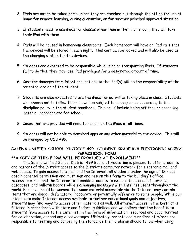- 2. iPads are not to be taken home unless they are checked out through the office for use at home for remote learning, during quarantine, or for another principal approved situation.
- 3. If students need to use iPads for classes other than in their homeroom, they will take their iPad with them.
- 4. iPads will be housed in homeroom classrooms. Each homeroom will have an iPad cart that the devices will be stored in each night. This cart can be locked and will also be used as the charging station for the devices.
- 5. Students are expected to be responsible while using or transporting iPads. If students fail to do this, they may lose iPad privileges for a designated amount of time.
- 6. Cost for damages from intentional actions to the iPad(s) will be the responsibility of the parent/guardian of the student.
- 7. Students are also expected to use the iPads for activities taking place in class. Students who choose not to follow this rule will be subject to consequences according to the discipline policy in the student handbook. This could include being off task or accessing material inappropriate for school.
- 8. Cases that are provided will need to remain on the iPads at all times.
- 9. Students will not be able to download apps or any other material to the device. This will be managed by USD 499.

#### **GALENA UNIFIED SCHOOL DISTRICT 499 STUDENT GRADE K-8 ELECTRONIC ACCESS PERMISSION FORM**

#### **\*\*A COPY OF THIS FORM WILL BE PROVIDED AT ENROLLMENT\*\***

The Galena Unified School District 499 Board of Education is pleased to offer students and patrons of the District access to the District's computer network for electronic mail and web access. To gain access to e-mail and the Internet, all students under the age of 18 must obtain parental permission and must sign and return this form to the building's office. Access to e-mail and the Internet will enable students to explore thousands of libraries, databases, and bulletin boards while exchanging messages with Internet users throughout the world. Families should be warned that some material accessible via the Internet may contain items that are illegal, defamatory, inaccurate or potentially offensive to some people. While our intent is to make Internet access available to further educational goals and objectives, students may find ways to access other materials as well. All internet access in the District is filtered in accordance with state and federal guidelines and we believe that the benefits to students from access to the Internet, in the form of information resources and opportunities for collaboration, exceed any disadvantages. Ultimately, parents and guardians of minors are responsible for setting and conveying the standards their children should follow when using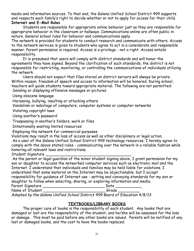media and information sources. To that end, the Galena Unified School District 499 supports and respects each family's right to decide whether or not to apply for access for their child. **Internet and E-Mail Rules**

Students are responsible for appropriate online behavior just as they are responsible for appropriate behavior in the classroom or hallways. Communications online are often public in nature. General school rules for behavior and communications apply.

The network is provided for students to conduct research and communicate with others. Access to the network services is given to students who agree to act in a considerate and responsible manner. Parent permission is required. Access is a privilege - not a right. Access entails responsibility.

It is presumed that users will comply with district standards and will honor the agreements they have signed. Beyond the clarification of such standards, the district is not responsible for restricting, monitoring, or controlling the communications of individuals utilizing the network.

Users should not expect that files stored on district servers will always be private. Within reason, freedom of speech and access to information will be honored. During school, teachers will guide students toward appropriate material. The following are not permitted: Sending or displaying offensive messages or pictures

Using obscene language

Harassing, bullying, insulting or attacking others

Vandalism or sabotage of computers, computer systems or computer networks

Violating copyright laws

Using another's password

Trespassing in another's folders, work or files

Intentionally wasting limited resources

Employing the network for commercial purposes.

Violations may result in the loss of access as well as other disciplinary or legal action.

As a user of the Galena Unified School District 499 technology resources, I hereby agree to comply with the above stated rules - communicating over the network in a reliable fashion while honoring all relevant laws and restrictions.

Student Signature

As the parent or legal guardian of the minor student signing above. I grant permission for my son or daughter to access the networked computer services such as electronic mail and the Internet. I understand that individuals and families may be held liable for violations. I understand that some material on the Internet may be objectionable, but I accept responsibility for guidance of Internet use - setting and conveying standards for my son or daughter to follow when selecting, sharing, or exploring information and media.  $P_{\text{anont}}$   $S_{\text{inpartum}}$ 

| Parent Signature |                |
|------------------|----------------|
| Name of Student  |                |
|                  | $\blacksquare$ |

<span id="page-20-0"></span>*Adopted by the Galena Unified School District 499 Board of Education 4/8/13*

#### **TEXTBOOKS/LIBRARY BOOKS**

The proper care of books is the responsibility of each student. Any books that are damaged or lost are the responsibility of the student, and he/she will be assessed for the loss or damage. This must be paid before any other books are issued. Parents will be notified of any lost or damaged books, and the cost to have the books replaced.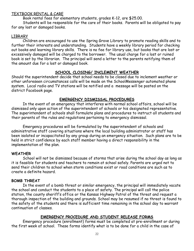#### TEXTBOOK RENTAL & CARE

Book rental fees for elementary students, grades K-12, are \$25.00.

Students will be responsible for the care of their books. Parents will be obligated to pay for any lost or damaged books.

#### LIBRARY

Children are encouraged to use the Spring Grove Library to promote reading skills and to further their interests and understanding. Students have a weekly library period for checking out books and learning library skills. There is no fee for library use, but books that are lost or excessively damaged will be charged to the borrower. The usual charge for a lost or ruined book is set by the librarian. The principal will send a letter to the parents notifying them of the amount due for a lost or damaged book.

#### **SCHOOL CLOSING/ INCLEMENT WEATHER**

<span id="page-21-0"></span>Should the superintendent decide that school needs to be closed due to inclement weather or other unforeseen circumstances calls will be made on the SchoolMessenger automated phone system. Local radio and TV stations will be notified and a message will be posted on the district Facebook page.

#### **EMERGENCY DISMISSAL PROCEDURES**

<span id="page-21-1"></span>In the event of an emergency that interferes with normal school affairs, school will be dismissed only upon action of the superintendent of schools or his designated representative. The superintendent of schools shall formulate plans and procedures to instruct all students and their parents of the rules and regulations pertaining to emergency dismissal.

Emergency procedures will be formulated by the superintendent of schools and administrative staff covering situations where the local building administrator or staff has been isolated or incapacitated by any group during an emergency situation. Such plans are to be held in strict confidence by each staff member having a direct responsibility in the implementation of the plan.

#### **WEATHER**

School will not be dismissed because of storms that arise during the school day as long as it is feasible for students and teachers to remain at school safely. Parents are urged not to send their children to school when storm conditions exist or road conditions are such as to create a definite hazard.

#### **BOMB THREAT**

In the event of a bomb threat or similar emergency, the principal will immediately vacate the school and conduct the students to a place of safety. The principal will call the police station, the county sheriff's office or the Kansas Highway Patrol of the threat and request a thorough inspection of the building and grounds. School may be resumed if no threat is found to the safety of the students and there is sufficient time remaining in the school day to warrant continuation of classes.

#### **EMERGENCY PROCEDURE AND STUDENT RELEASE FORMS**

<span id="page-21-2"></span>Emergency procedure (enrollment) forms must be completed at pre-enrollment or during the first week of school. These forms identify what is to be done for a child in the case of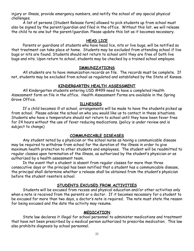injury or illness, provide emergency numbers, and notify the school of any special physical challenges.

A list of persons (Student Release form) allowed to pick students up from school must also be signed by the parent/guardian and filed in the office. Without this list, we will release the child to no one but the parent/guardian. Please update this list as it becomes necessary.

#### **HEAD LICE**

<span id="page-22-0"></span>Parents or guardians of students who have head lice, nits or live bugs, will be notified so that treatment can take place at home. Students may be excluded from attending school if live bugs or nits are found. Students should not return to school until they are free of both live bugs and nits. Upon return to school, students may be checked by a trained school employee.

#### **IMMUNIZATIONS**

<span id="page-22-1"></span>All students are to have immunization records on file. The records must be complete. If not, students may be excluded from school as regulated and established by the State of Kansas.

#### **KINDERGARTEN HEALTH ASSESSMENT**

<span id="page-22-2"></span>All Kindergarten students entering USD #499 need to have a completed Health Assessment form on file in the office. Health Assessment Forms are available in the Spring Grove Office.

#### **ILLNESSES**

<span id="page-22-3"></span>If a child becomes ill at school, arrangements will be made to have the students picked up from school. Please advise the school on who you would like us to contact in these situations. Students who have a temperature should not return to school until they have been fever free for 24 hours without the use of fever reducing medications. (policy is under review and is subject to change)

#### **COMMUNICABLE DISEASES**

<span id="page-22-4"></span>Any student noted by a physician or the school nurse as having a communicable disease may be required to withdraw from school for the duration of the illness in order to give maximum health protection to other students and employees. The student will be readmitted to regular classes upon termination of the illness, as authorized by the student's physician or as authorized by a health assessment team.

In the event that a student is absent from regular classes for more than three consecutive days or the principal has been notified that a student has a communicable disease, the principal shall determine whether a release shall be obtained from the student's physician before the student reenters school.

#### **STUDENTS EXCUSED FROM ACTIVITIES**

<span id="page-22-5"></span>Students will be excused from recess and physical education and/or other activities only when a note is received from the parents or a doctor. If it becomes necessary for a student to be excused for more than two days, a doctor's note is required. The note must state the reason for being excused and the date the activity may resume.

#### **MEDICATION**

<span id="page-22-6"></span>State law declares it illegal for school personnel to administer medications and treatment that have not been prescribed by a medical person authorized to prescribe medication. This law also prohibits diagnosis by school personnel.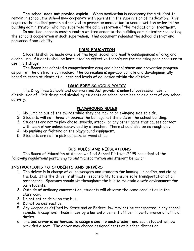**The school does not provide aspirin.** When medication is necessary for a student to remain in school, the school may cooperate with parents in the supervision of medication. This requires the medical person authorized to prescribe medication to send a written order to the building administrator who may supervise the administration of the medication or treatment.

In addition, parents must submit a written order to the building administrator requesting the school's cooperation in such supervision. This document releases the school district and personnel from liability.

#### **DRUG EDUCATION**

<span id="page-23-0"></span>Students shall be made aware of the legal, social, and health consequences of drug and alcohol use. Students shall be instructed on effective techniques for resisting peer pressure to use illicit drugs.

The Board has adopted a comprehensive drug and alcohol abuse and prevention program as part of the district's curriculum. The curriculum is age-appropriate and developmentally based to reach students at all ages and levels of education within the district.

#### **DRUG FREE SCHOOLS POLICY**

<span id="page-23-1"></span>The Drug Free Schools and Communities Act prohibits unlawful possession, use, or distribution of illicit drugs and alcohol by students on school premises or as a part of any school activity.

#### **PLAYGROUND RULES**

- <span id="page-23-2"></span>1. No jumping out of the swings while they are moving or swinging side to side.
- 2. Students will not throw or bounce the ball against the side of the school building.
- 3. Students are not to play chase, swords, attack, or any other game that causes contact with each other unless supervised by a teacher. There should also be no rough play.
- 4. No pushing or fighting on the playground equipment.
- 5. Students are not to pick up rocks or wood chips.

#### **BUS RULES AND REGULATIONS**

<span id="page-23-3"></span>The Board of Education of Galena Unified School District #499 has adopted the following regulations pertaining to bus transportation and student behavior:

#### **INSTRUCTIONS TO STUDENTS AND DRIVERS**

- 1. The driver is in charge of all passengers and students for loading, unloading, and riding the bus. It is the driver's ultimate responsibility to ensure safe transportation of all passengers. Sponsors should sit throughout the bus to maintain a safe environment for our students.
- 2. Outside of ordinary conversation, students will observe the same conduct as in the classroom.
- 3. Do not eat or drink on the bus.
- 4. Do not be destructive.
- 5. Any weapon as defined by State and or Federal law may not be transported in any school vehicle. Exception: those in use by a law enforcement officer in performance of official duties.
- 6. The bus driver is authorized to assign a seat to each student and each student will be provided a seat. The driver may change assigned seats at his/her discretion.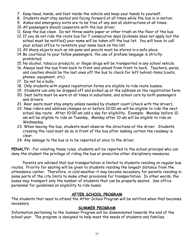- 7. Keep head, hands, and feet inside the vehicle and keep your hands to yourself.
- 8. Students must stay seated and facing forward at all times while the bus is in motion.
- 9. Aisles and emergency exits are to be free of any and all obstructions at all times.
- 10. All passengers should cooperate with the bus driver.
- 11. Keep the bus clean. Do not throw waste paper or other trash on the floor of the bus.
- 12. If you do not ride the route bus for 7 consecutive days (sickness does not apply but the school must be notified) your name will be taken off the bus list. You will have to call your school office to reinstate your name back on the list.
- 13. All sharp objects such as ink pens and pencils must be stored in a safe place.
- 14. Be courteous to your fellow passengers, the use of profane language is strictly prohibited.
- 15. No alcohol, tobacco products, or illegal drugs will be transported in any school vehicle.
- 16. Always load the bus from back to front and unload from front to back. Teachers, paras, and coaches should be the last ones off the bus to check for left behind items (coats, phones, equipment, etc).
- 17. Do not be a bully.
- 18. Only students with signed registration forms are eligible to ride route busses.
- 19. Students can only be dropped off and picked up at the address on the registration form.
- 20. Seat belts must be worn at all times in suburbans, and school cars by both passengers and drivers.
- 21. Rear seats must stay empty unless needed by student count (check with the driver).
- 22. New riders and address changes on or before 10:00 am will be eligible to ride the next school day route. After 10:00 am add a day for eligibility. Example: Monday before 10 am will be eligible to ride on Tuesday, Monday after 10 am will be eligible to ride on Wednesday.
- 23. When leaving the bus, students must observe the directions of the driver. Students crossing the road must do so in front of the bus after making certain the roadway is clear.
- 24. Any damage to the bus is to be reported at once to the driver.

**PENALTY:** For violating these rules, students will be reported to the school principal who can deny the student the privilege of riding the bus or prescribe other disciplinary measures.

Parents are advised that bus transportation is limited to students residing on regular bus routes. Priority for seating will be given to students residing the longest distance from the attendance center. Therefore, in cold weather it may become necessary for parents residing in some parts of the city limits to make other provisions for transportation. In other words, the buses may transport only the number of students that can be properly seated. See office personnel for guidelines on eligibility to ride buses.

#### **AFTER SCHOOL PROGRAM**

<span id="page-24-0"></span>The students that need to attend the After School Program will be notified when that becomes necessary.

#### **SUMMER PROGRAM**

<span id="page-24-1"></span>Information pertaining to the Summer Program will be disseminated towards the end of the school year. The program is designed to help meet the needs of students and families.